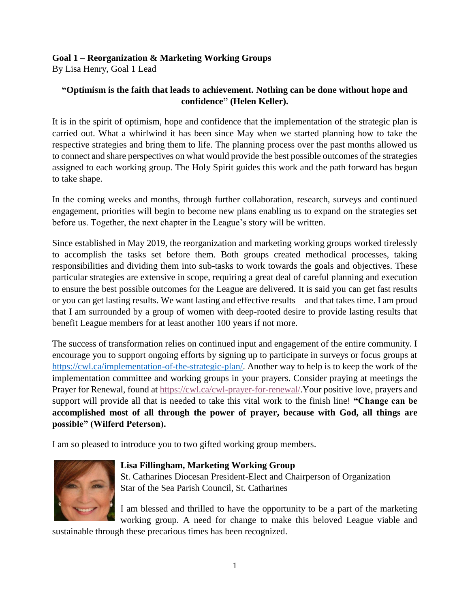## **Goal 1 – Reorganization & Marketing Working Groups**

By Lisa Henry, Goal 1 Lead

## **"Optimism is the faith that leads to achievement. Nothing can be done without hope and confidence" [\(Helen Keller\)](https://www.brainyquote.com/authors/helen-keller-quotes).**

It is in the spirit of optimism, hope and confidence that the implementation of the strategic plan is carried out. What a whirlwind it has been since May when we started planning how to take the respective strategies and bring them to life. The planning process over the past months allowed us to connect and share perspectives on what would provide the best possible outcomes of the strategies assigned to each working group. The Holy Spirit guides this work and the path forward has begun to take shape.

In the coming weeks and months, through further collaboration, research, surveys and continued engagement, priorities will begin to become new plans enabling us to expand on the strategies set before us. Together, the next chapter in the League's story will be written.

Since established in May 2019, the reorganization and marketing working groups worked tirelessly to accomplish the tasks set before them. Both groups created methodical processes, taking responsibilities and dividing them into sub-tasks to work towards the goals and objectives. These particular strategies are extensive in scope, requiring a great deal of careful planning and execution to ensure the best possible outcomes for the League are delivered. It is said you can get fast results or you can get lasting results. We want lasting and effective results—and that takes time. I am proud that I am surrounded by a group of women with deep-rooted desire to provide lasting results that benefit League members for at least another 100 years if not more.

The success of transformation relies on continued input and engagement of the entire community. I encourage you to support ongoing efforts by signing up to participate in surveys or focus groups at [https://cwl.ca/implementation-of-the-strategic-plan/.](https://cwl.ca/implementation-of-the-strategic-plan/) Another way to help is to keep the work of the implementation committee and working groups in your prayers. Consider praying at meetings the Prayer for Renewal, found at [https://cwl.ca/cwl-prayer-for-renewal/.](https://cwl.ca/cwl-prayer-for-renewal/)Your positive love, prayers and support will provide all that is needed to take this vital work to the finish line! **"Change can be accomplished most of all through the power of prayer, because with God, all things are possible" (Wilferd Peterson).**

I am so pleased to introduce you to two gifted working group members.



## **Lisa Fillingham, Marketing Working Group**

St. Catharines Diocesan President-Elect and Chairperson of Organization Star of the Sea Parish Council, St. Catharines

I am blessed and thrilled to have the opportunity to be a part of the marketing working group. A need for change to make this beloved League viable and

sustainable through these precarious times has been recognized.